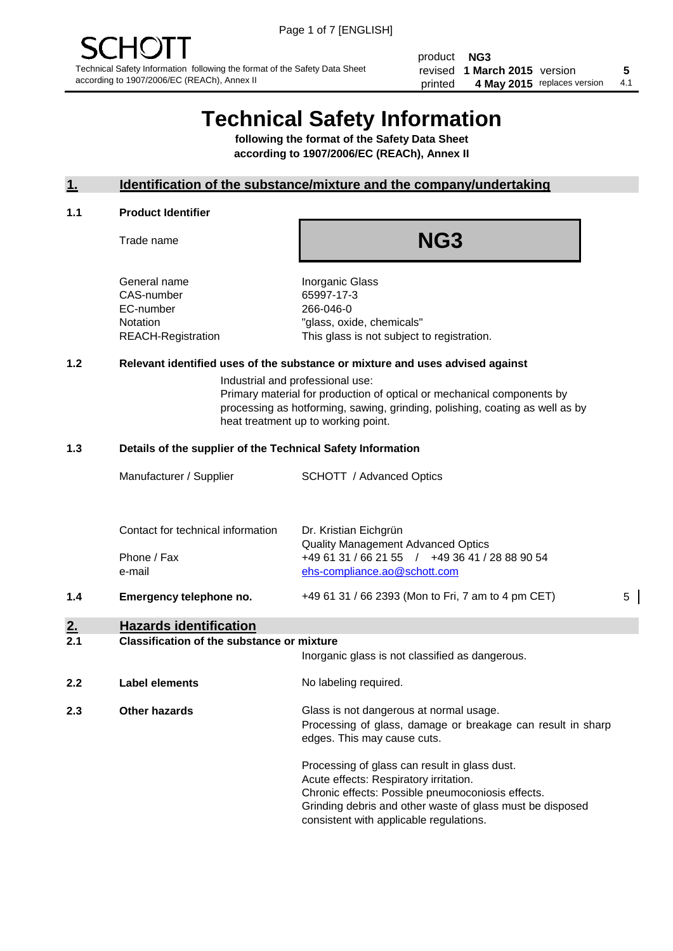product **NG3** revised **5 1 March 2015** version printed 4 May 2015 replaces version 4.1

# **Technical Safety Information**

**following the format of the Safety Data Sheet according to 1907/2006/EC (REACh), Annex II**

#### **1. Identification of the substance/mixture and the company/undertaking**

#### **1.1 Product Identifier**

Trade name

## **NG3**

General name **Inorganic Glass** CAS-number 65997-17-3 EC-number 266-046-0

Notation "glass, oxide, chemicals" REACH-Registration This glass is not subject to registration.

#### **1.2 Relevant identified uses of the substance or mixture and uses advised against**

Industrial and professional use: Primary material for production of optical or mechanical components by processing as hotforming, sawing, grinding, polishing, coating as well as by heat treatment up to working point.

#### **1.3 Details of the supplier of the Technical Safety Information**

|     | Manufacturer / Supplier           | <b>SCHOTT</b> / Advanced Optics                             |   |
|-----|-----------------------------------|-------------------------------------------------------------|---|
|     |                                   |                                                             |   |
|     | Contact for technical information | Dr. Kristian Eichgrün<br>Quality Management Advanced Optics |   |
|     | Phone / Fax                       | +49 61 31 / 66 21 55 / +49 36 41 / 28 88 90 54              |   |
|     | e-mail                            | ehs-compliance.ao@schott.com                                |   |
| 1.4 | Emergency telephone no.           | +49 61 31 / 66 2393 (Mon to Fri, 7 am to 4 pm CET)          | 5 |

#### **2. Hazards identification**

#### **2.1 Classification of the substance or mixture**

|     |                      | Inorganic glass is not classified as dangerous.                                                                                                                                                                                                      |  |  |
|-----|----------------------|------------------------------------------------------------------------------------------------------------------------------------------------------------------------------------------------------------------------------------------------------|--|--|
| 2.2 | Label elements       | No labeling required.                                                                                                                                                                                                                                |  |  |
| 2.3 | <b>Other hazards</b> | Glass is not dangerous at normal usage.<br>Processing of glass, damage or breakage can result in sharp<br>edges. This may cause cuts.                                                                                                                |  |  |
|     |                      | Processing of glass can result in glass dust.<br>Acute effects: Respiratory irritation.<br>Chronic effects: Possible pneumoconiosis effects.<br>Grinding debris and other waste of glass must be disposed<br>consistent with applicable regulations. |  |  |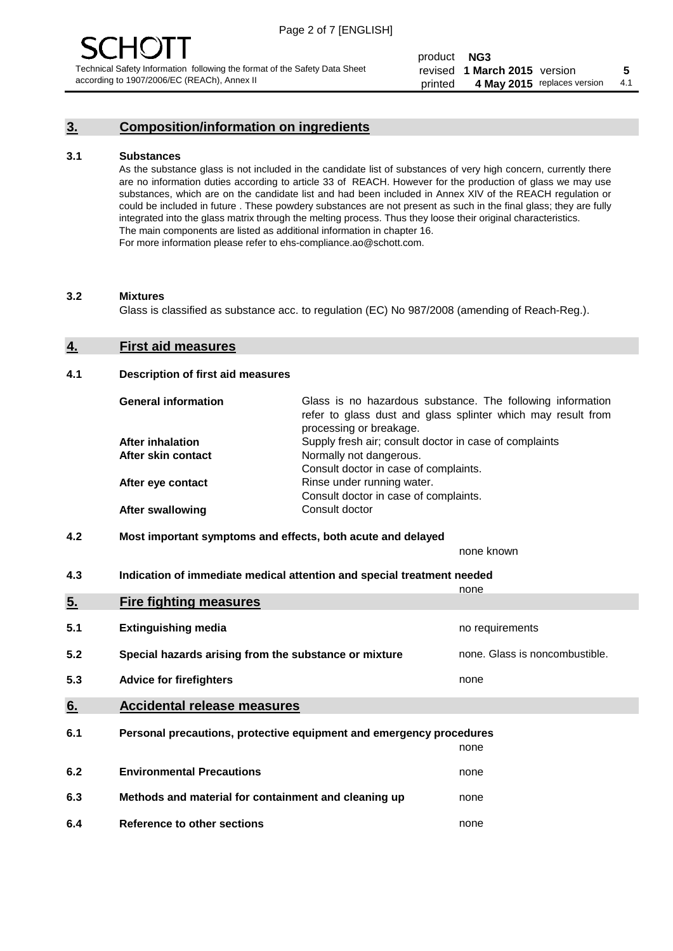#### **3. Composition/information on ingredients**

#### **3.1 Substances**

As the substance glass is not included in the candidate list of substances of very high concern, currently there are no information duties according to article 33 of REACH. However for the production of glass we may use substances, which are on the candidate list and had been included in Annex XIV of the REACH regulation or could be included in future . These powdery substances are not present as such in the final glass; they are fully integrated into the glass matrix through the melting process. Thus they loose their original characteristics. The main components are listed as additional information in chapter 16. For more information please refer to ehs-compliance.ao@schott.com.

#### **3.2 Mixtures**

Glass is classified as substance acc. to regulation (EC) No 987/2008 (amending of Reach-Reg.).

#### **4. First aid measures**

#### **4.1 Description of first aid measures**

| <b>General information</b> | Glass is no hazardous substance. The following information<br>refer to glass dust and glass splinter which may result from<br>processing or breakage. |
|----------------------------|-------------------------------------------------------------------------------------------------------------------------------------------------------|
| <b>After inhalation</b>    | Supply fresh air; consult doctor in case of complaints                                                                                                |
| After skin contact         | Normally not dangerous.                                                                                                                               |
|                            | Consult doctor in case of complaints.                                                                                                                 |
| After eye contact          | Rinse under running water.                                                                                                                            |
|                            | Consult doctor in case of complaints.                                                                                                                 |
| <b>After swallowing</b>    | Consult doctor                                                                                                                                        |

#### **4.2 Most important symptoms and effects, both acute and delayed**

none known

**4.3 Indication of immediate medical attention and special treatment needed** 

|     |                                                                     | none                           |  |
|-----|---------------------------------------------------------------------|--------------------------------|--|
| 5.  | <b>Fire fighting measures</b>                                       |                                |  |
| 5.1 | <b>Extinguishing media</b>                                          | no requirements                |  |
| 5.2 | Special hazards arising from the substance or mixture               | none. Glass is noncombustible. |  |
| 5.3 | <b>Advice for firefighters</b>                                      | none                           |  |
| 6.  | <b>Accidental release measures</b>                                  |                                |  |
| 6.1 | Personal precautions, protective equipment and emergency procedures |                                |  |
|     |                                                                     | none                           |  |
| 6.2 | <b>Environmental Precautions</b>                                    | none                           |  |
| 6.3 | Methods and material for containment and cleaning up                | none                           |  |
| 6.4 | Reference to other sections                                         | none                           |  |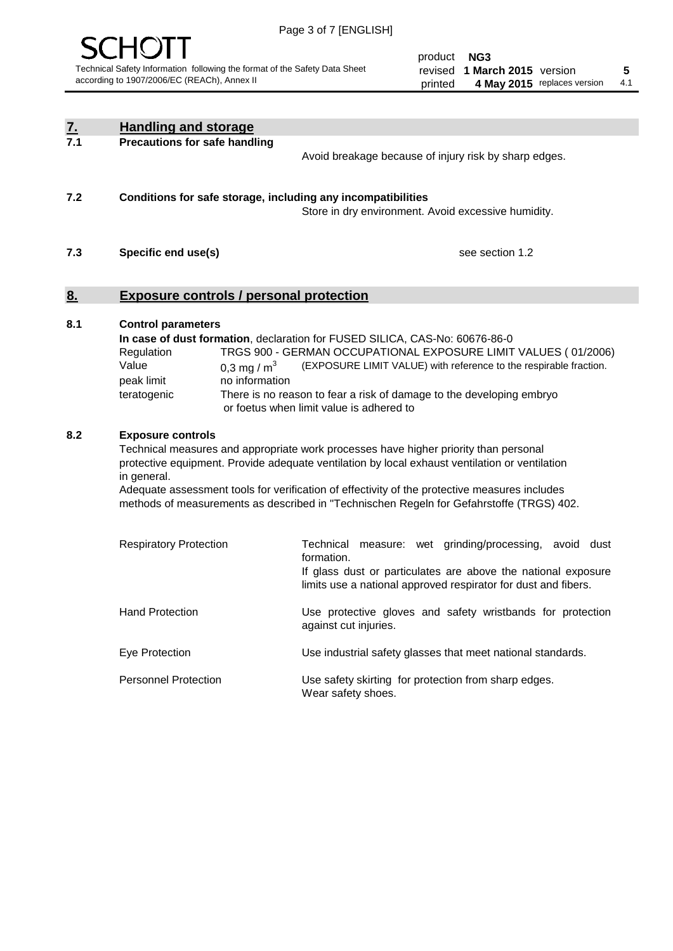

product **NG3** revised **5 1 March 2015** version printed 4 May 2015 replaces version 4.1

| $\underline{7}$ . | <b>Handling and storage</b>                                                                                                                                                                                                                                                                                                                                                                                                    |                                                                                                                                                                                                                                                                                                                                        |
|-------------------|--------------------------------------------------------------------------------------------------------------------------------------------------------------------------------------------------------------------------------------------------------------------------------------------------------------------------------------------------------------------------------------------------------------------------------|----------------------------------------------------------------------------------------------------------------------------------------------------------------------------------------------------------------------------------------------------------------------------------------------------------------------------------------|
| 7.1               | <b>Precautions for safe handling</b>                                                                                                                                                                                                                                                                                                                                                                                           | Avoid breakage because of injury risk by sharp edges.                                                                                                                                                                                                                                                                                  |
| 7.2               | Conditions for safe storage, including any incompatibilities                                                                                                                                                                                                                                                                                                                                                                   | Store in dry environment. Avoid excessive humidity.                                                                                                                                                                                                                                                                                    |
| 7.3               | Specific end use(s)                                                                                                                                                                                                                                                                                                                                                                                                            | see section 1.2                                                                                                                                                                                                                                                                                                                        |
| 8.                | <b>Exposure controls / personal protection</b>                                                                                                                                                                                                                                                                                                                                                                                 |                                                                                                                                                                                                                                                                                                                                        |
| 8.1               | <b>Control parameters</b><br>Regulation<br>Value<br>0.3 mg / $m^3$<br>no information<br>peak limit<br>teratogenic                                                                                                                                                                                                                                                                                                              | In case of dust formation, declaration for FUSED SILICA, CAS-No: 60676-86-0<br>TRGS 900 - GERMAN OCCUPATIONAL EXPOSURE LIMIT VALUES (01/2006)<br>(EXPOSURE LIMIT VALUE) with reference to the respirable fraction.<br>There is no reason to fear a risk of damage to the developing embryo<br>or foetus when limit value is adhered to |
| 8.2               | <b>Exposure controls</b><br>Technical measures and appropriate work processes have higher priority than personal<br>protective equipment. Provide adequate ventilation by local exhaust ventilation or ventilation<br>in general.<br>Adequate assessment tools for verification of effectivity of the protective measures includes<br>methods of measurements as described in "Technischen Regeln for Gefahrstoffe (TRGS) 402. |                                                                                                                                                                                                                                                                                                                                        |
|                   | <b>Respiratory Protection</b>                                                                                                                                                                                                                                                                                                                                                                                                  | Technical<br>measure: wet grinding/processing, avoid dust<br>formation.<br>If glass dust or particulates are above the national exposure<br>limits use a national approved respirator for dust and fibers.                                                                                                                             |
|                   | <b>Hand Protection</b>                                                                                                                                                                                                                                                                                                                                                                                                         | Use protective gloves and safety wristbands for protection<br>against cut injuries.                                                                                                                                                                                                                                                    |
|                   | Eye Protection                                                                                                                                                                                                                                                                                                                                                                                                                 | Use industrial safety glasses that meet national standards.                                                                                                                                                                                                                                                                            |
|                   | <b>Personnel Protection</b>                                                                                                                                                                                                                                                                                                                                                                                                    | Use safety skirting for protection from sharp edges.<br>Wear safety shoes.                                                                                                                                                                                                                                                             |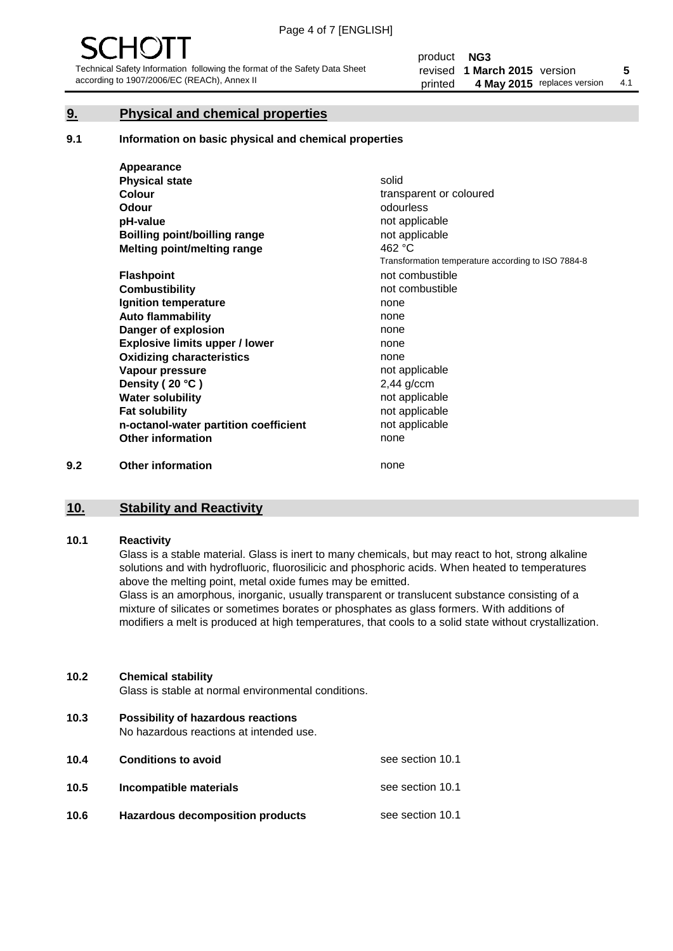#### **9. Physical and chemical properties**

#### **9.1 Information on basic physical and chemical properties**

|     | Appearance                            |                                                    |
|-----|---------------------------------------|----------------------------------------------------|
|     | <b>Physical state</b>                 | solid                                              |
|     | <b>Colour</b>                         | transparent or coloured                            |
|     | <b>Odour</b>                          | odourless                                          |
|     | pH-value                              | not applicable                                     |
|     | <b>Boilling point/boilling range</b>  | not applicable                                     |
|     | Melting point/melting range           | 462 °C                                             |
|     |                                       | Transformation temperature according to ISO 7884-8 |
|     | <b>Flashpoint</b>                     | not combustible                                    |
|     | <b>Combustibility</b>                 | not combustible                                    |
|     | Ignition temperature                  | none                                               |
|     | <b>Auto flammability</b>              | none                                               |
|     | Danger of explosion                   | none                                               |
|     | <b>Explosive limits upper / lower</b> | none                                               |
|     | <b>Oxidizing characteristics</b>      | none                                               |
|     | Vapour pressure                       | not applicable                                     |
|     | Density (20 °C)                       | $2,44$ g/ccm                                       |
|     | <b>Water solubility</b>               | not applicable                                     |
|     | <b>Fat solubility</b>                 | not applicable                                     |
|     | n-octanol-water partition coefficient | not applicable                                     |
|     | <b>Other information</b>              | none                                               |
| 9.2 | <b>Other information</b>              | none                                               |

### **10. Stability and Reactivity**

#### **10.1 Reactivity**

Glass is a stable material. Glass is inert to many chemicals, but may react to hot, strong alkaline solutions and with hydrofluoric, fluorosilicic and phosphoric acids. When heated to temperatures above the melting point, metal oxide fumes may be emitted.

Glass is an amorphous, inorganic, usually transparent or translucent substance consisting of a mixture of silicates or sometimes borates or phosphates as glass formers. With additions of modifiers a melt is produced at high temperatures, that cools to a solid state without crystallization.

#### **10.2 Chemical stability**

Glass is stable at normal environmental conditions.

**10.3 Possibility of hazardous reactions** 

No hazardous reactions at intended use.

| 10.4 | <b>Conditions to avoid</b>              | see section 10.1 |
|------|-----------------------------------------|------------------|
| 10.5 | Incompatible materials                  | see section 10.1 |
| 10.6 | <b>Hazardous decomposition products</b> | see section 10.1 |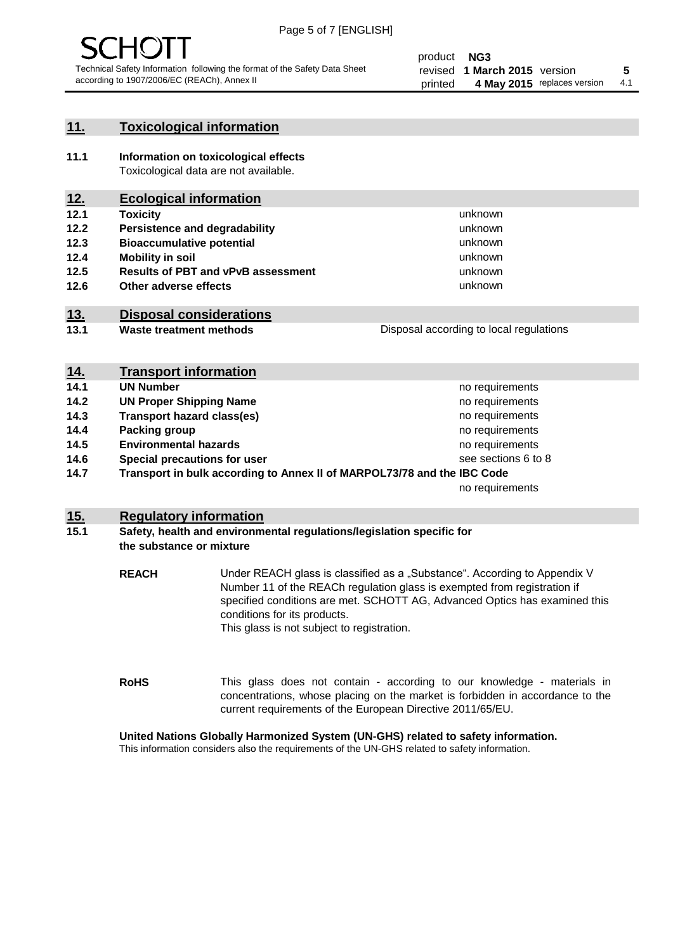

unknown unknown unknown unknown

unknown unknown

Disposal according to local regulations

#### **11. Toxicological information**

**11.1 Information on toxicological effects** Toxicological data are not available.

#### **12. Ecological information**

- **12.1 Toxicity**
- **12.2 Persistence and degradability**
- **12.3 Bioaccumulative potential**
- **12.4 Mobility in soil**
- **12.5 Results of PBT and vPvB assessment**
- **12.6 Other adverse effects**

#### **13. Disposal considerations**

**13.1 Waste treatment methods**

| <b>Proposal according to local regulations</b> |  |
|------------------------------------------------|--|
|                                                |  |
|                                                |  |
|                                                |  |

| <u>14.</u> | <b>Transport information</b>                                            |                     |
|------------|-------------------------------------------------------------------------|---------------------|
| 14.1       | <b>UN Number</b>                                                        | no requirements     |
| 14.2       | <b>UN Proper Shipping Name</b>                                          | no requirements     |
| 14.3       | <b>Transport hazard class(es)</b>                                       | no requirements     |
| 14.4       | Packing group                                                           | no requirements     |
| 14.5       | <b>Environmental hazards</b>                                            | no requirements     |
| 14.6       | Special precautions for user                                            | see sections 6 to 8 |
| 14.7       | Transport in bulk according to Annex II of MARPOL73/78 and the IBC Code |                     |
|            |                                                                         | no requirements     |

#### **15. Regulatory information**

#### **15.1 Safety, health and environmental regulations/legislation specific for the substance or mixture**

**REACH** Under REACH glass is classified as a "Substance". According to Appendix V Number 11 of the REACh regulation glass is exempted from registration if specified conditions are met. SCHOTT AG, Advanced Optics has examined this conditions for its products. This glass is not subject to registration.

**RoHS** This glass does not contain - according to our knowledge - materials in concentrations, whose placing on the market is forbidden in accordance to the current requirements of the European Directive 2011/65/EU.

#### **United Nations Globally Harmonized System (UN-GHS) related to safety information.**

This information considers also the requirements of the UN-GHS related to safety information.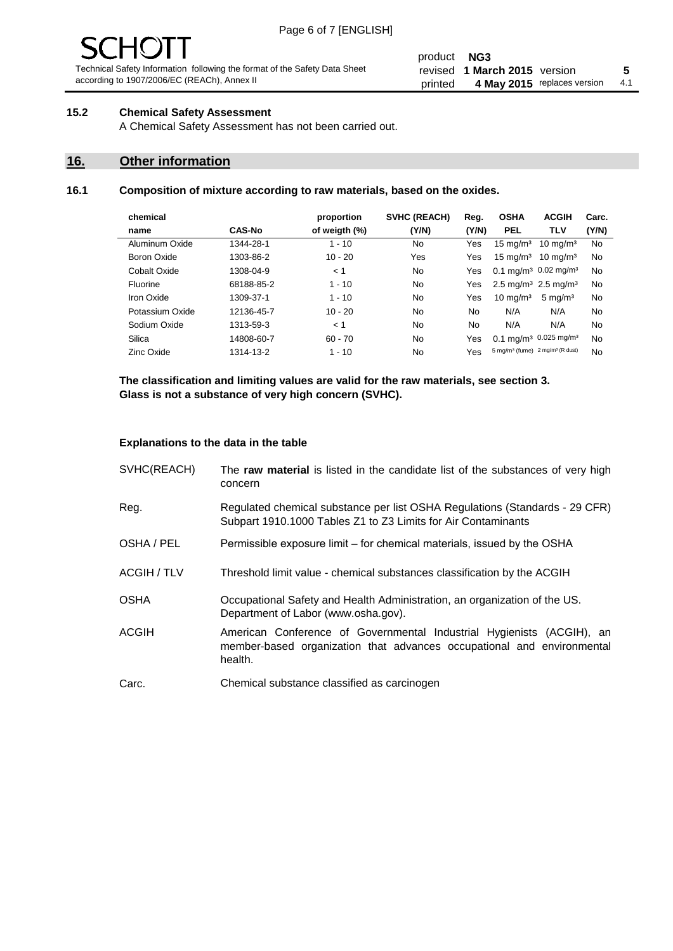# - JF

Technical Safety Information following the format of the Safety Data Sheet according to 1907/2006/EC (REACh), Annex II

#### product **NG3** revised **5 1 March 2015** version printed 4 May 2015 replaces version 4.1

#### **15.2 Chemical Safety Assessment**

A Chemical Safety Assessment has not been carried out.

#### **16. Other information**

#### **16.1 Composition of mixture according to raw materials, based on the oxides.**

| chemical        |               | proportion    | <b>SVHC (REACH)</b> | Reg.  | <b>OSHA</b>                                             | <b>ACGIH</b>        | Carc. |
|-----------------|---------------|---------------|---------------------|-------|---------------------------------------------------------|---------------------|-------|
| name            | <b>CAS-No</b> | of weigth (%) | (Y/N)               | (Y/N) | <b>PEL</b>                                              | <b>TLV</b>          | (Y/N) |
| Aluminum Oxide  | 1344-28-1     | $1 - 10$      | No                  | Yes   | $15 \text{ mg/m}^3$                                     | $10 \text{ mg/m}^3$ | No    |
| Boron Oxide     | 1303-86-2     | $10 - 20$     | Yes                 | Yes   | $15 \text{ mg/m}^3$                                     | $10 \text{ ma/m}^3$ | No    |
| Cobalt Oxide    | 1308-04-9     | < 1           | No.                 | Yes   | 0.1 mg/m <sup>3</sup> 0.02 mg/m <sup>3</sup>            |                     | No    |
| Fluorine        | 68188-85-2    | $1 - 10$      | No                  | Yes   | 2.5 mg/m <sup>3</sup> 2.5 mg/m <sup>3</sup>             |                     | No    |
| Iron Oxide      | 1309-37-1     | $1 - 10$      | No                  | Yes   | $10 \text{ mg/m}^3$                                     | $5 \text{ mg/m}^3$  | No    |
| Potassium Oxide | 12136-45-7    | $10 - 20$     | No                  | No.   | N/A                                                     | N/A                 | No    |
| Sodium Oxide    | 1313-59-3     | < 1           | No                  | No    | N/A                                                     | N/A                 | No    |
| Silica          | 14808-60-7    | $60 - 70$     | No.                 | Yes   | 0.1 mg/m <sup>3</sup> 0.025 mg/m <sup>3</sup>           |                     | No    |
| Zinc Oxide      | 1314-13-2     | $1 - 10$      | No                  | Yes   | 5 mg/m <sup>3</sup> (fume) 2 mg/m <sup>3</sup> (R dust) |                     | No    |

**The classification and limiting values are valid for the raw materials, see section 3. Glass is not a substance of very high concern (SVHC).**

#### **Explanations to the data in the table**

| SVHC(REACH)        | The raw material is listed in the candidate list of the substances of very high<br>concern                                                                 |
|--------------------|------------------------------------------------------------------------------------------------------------------------------------------------------------|
| Reg.               | Regulated chemical substance per list OSHA Regulations (Standards - 29 CFR)<br>Subpart 1910.1000 Tables Z1 to Z3 Limits for Air Contaminants               |
| OSHA / PEL         | Permissible exposure limit – for chemical materials, issued by the OSHA                                                                                    |
| <b>ACGIH / TLV</b> | Threshold limit value - chemical substances classification by the ACGIH                                                                                    |
| <b>OSHA</b>        | Occupational Safety and Health Administration, an organization of the US.<br>Department of Labor (www.osha.gov).                                           |
| ACGIH              | American Conference of Governmental Industrial Hygienists (ACGIH), an<br>member-based organization that advances occupational and environmental<br>health. |
| Carc.              | Chemical substance classified as carcinogen                                                                                                                |